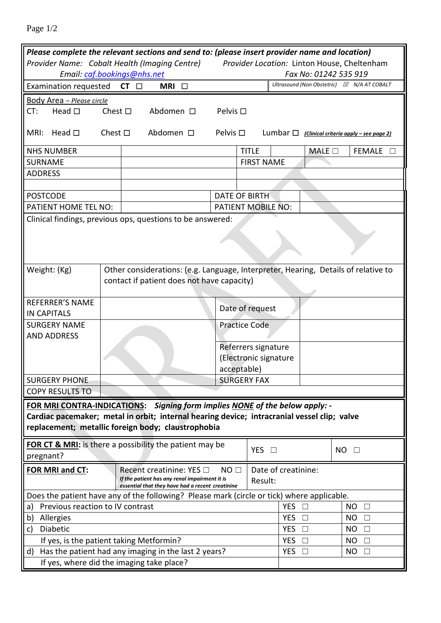| Provider Name: Cobalt Health (Imaging Centre)<br>Email: caf.bookings@nhs.net<br>Examination requested $CT \Box$<br>Body Area - Please circle<br>Head $\square$<br>Chest $\square$<br>CT:<br>Head $\square$<br>Chest $\square$<br>MRI:<br><b>NHS NUMBER</b><br><b>SURNAME</b><br><b>ADDRESS</b><br><b>POSTCODE</b><br>PATIENT HOME TEL NO: | MRI <sub>D</sub><br>Abdomen □<br>Pelvis $\square$<br>Pelvis $\square$<br>Abdomen □ | <b>TITLE</b><br><b>FIRST NAME</b>                    | Lumbar $\square$                                           | MALE                | Provider Location: Linton House, Cheltenham<br>Fax No: 01242 535 919<br>Ultrasound (Non Obstetric) $\boxtimes$ N/A AT COBALT<br>(Clinical criteria apply - see page 2)<br><b>FEMALE</b><br>$\perp$ |  |  |  |  |
|-------------------------------------------------------------------------------------------------------------------------------------------------------------------------------------------------------------------------------------------------------------------------------------------------------------------------------------------|------------------------------------------------------------------------------------|------------------------------------------------------|------------------------------------------------------------|---------------------|----------------------------------------------------------------------------------------------------------------------------------------------------------------------------------------------------|--|--|--|--|
|                                                                                                                                                                                                                                                                                                                                           |                                                                                    |                                                      |                                                            |                     |                                                                                                                                                                                                    |  |  |  |  |
|                                                                                                                                                                                                                                                                                                                                           |                                                                                    |                                                      |                                                            |                     |                                                                                                                                                                                                    |  |  |  |  |
|                                                                                                                                                                                                                                                                                                                                           |                                                                                    |                                                      |                                                            |                     |                                                                                                                                                                                                    |  |  |  |  |
|                                                                                                                                                                                                                                                                                                                                           |                                                                                    |                                                      |                                                            |                     |                                                                                                                                                                                                    |  |  |  |  |
|                                                                                                                                                                                                                                                                                                                                           |                                                                                    |                                                      |                                                            |                     |                                                                                                                                                                                                    |  |  |  |  |
|                                                                                                                                                                                                                                                                                                                                           |                                                                                    |                                                      |                                                            |                     |                                                                                                                                                                                                    |  |  |  |  |
|                                                                                                                                                                                                                                                                                                                                           |                                                                                    |                                                      |                                                            |                     |                                                                                                                                                                                                    |  |  |  |  |
|                                                                                                                                                                                                                                                                                                                                           |                                                                                    |                                                      |                                                            |                     |                                                                                                                                                                                                    |  |  |  |  |
|                                                                                                                                                                                                                                                                                                                                           |                                                                                    |                                                      |                                                            |                     |                                                                                                                                                                                                    |  |  |  |  |
|                                                                                                                                                                                                                                                                                                                                           |                                                                                    |                                                      |                                                            |                     |                                                                                                                                                                                                    |  |  |  |  |
|                                                                                                                                                                                                                                                                                                                                           |                                                                                    | <b>DATE OF BIRTH</b>                                 |                                                            |                     |                                                                                                                                                                                                    |  |  |  |  |
|                                                                                                                                                                                                                                                                                                                                           |                                                                                    | PATIENT MOBILE NO:                                   |                                                            |                     |                                                                                                                                                                                                    |  |  |  |  |
|                                                                                                                                                                                                                                                                                                                                           | Clinical findings, previous ops, questions to be answered:                         |                                                      |                                                            |                     |                                                                                                                                                                                                    |  |  |  |  |
|                                                                                                                                                                                                                                                                                                                                           |                                                                                    |                                                      |                                                            |                     |                                                                                                                                                                                                    |  |  |  |  |
|                                                                                                                                                                                                                                                                                                                                           |                                                                                    |                                                      |                                                            |                     |                                                                                                                                                                                                    |  |  |  |  |
|                                                                                                                                                                                                                                                                                                                                           |                                                                                    |                                                      |                                                            |                     |                                                                                                                                                                                                    |  |  |  |  |
|                                                                                                                                                                                                                                                                                                                                           |                                                                                    |                                                      |                                                            |                     |                                                                                                                                                                                                    |  |  |  |  |
| Weight: (Kg)                                                                                                                                                                                                                                                                                                                              | Other considerations: (e.g. Language, Interpreter, Hearing, Details of relative to |                                                      |                                                            |                     |                                                                                                                                                                                                    |  |  |  |  |
| contact if patient does not have capacity)                                                                                                                                                                                                                                                                                                |                                                                                    |                                                      |                                                            |                     |                                                                                                                                                                                                    |  |  |  |  |
| <b>REFERRER'S NAME</b>                                                                                                                                                                                                                                                                                                                    |                                                                                    |                                                      |                                                            |                     |                                                                                                                                                                                                    |  |  |  |  |
| <b>IN CAPITALS</b>                                                                                                                                                                                                                                                                                                                        | Date of request                                                                    |                                                      |                                                            |                     |                                                                                                                                                                                                    |  |  |  |  |
| <b>SURGERY NAME</b>                                                                                                                                                                                                                                                                                                                       | <b>Practice Code</b>                                                               |                                                      |                                                            |                     |                                                                                                                                                                                                    |  |  |  |  |
| <b>AND ADDRESS</b>                                                                                                                                                                                                                                                                                                                        |                                                                                    |                                                      |                                                            |                     |                                                                                                                                                                                                    |  |  |  |  |
|                                                                                                                                                                                                                                                                                                                                           | Referrers signature                                                                |                                                      |                                                            |                     |                                                                                                                                                                                                    |  |  |  |  |
|                                                                                                                                                                                                                                                                                                                                           |                                                                                    | (Electronic signature                                |                                                            |                     |                                                                                                                                                                                                    |  |  |  |  |
|                                                                                                                                                                                                                                                                                                                                           |                                                                                    | acceptable)                                          |                                                            |                     |                                                                                                                                                                                                    |  |  |  |  |
| <b>SURGERY PHONE</b>                                                                                                                                                                                                                                                                                                                      | <b>SURGERY FAX</b>                                                                 |                                                      |                                                            |                     |                                                                                                                                                                                                    |  |  |  |  |
| <b>COPY RESULTS TO</b>                                                                                                                                                                                                                                                                                                                    |                                                                                    |                                                      |                                                            |                     |                                                                                                                                                                                                    |  |  |  |  |
| FOR MRI CONTRA-INDICATIONS: Signing form implies NONE of the below apply: -                                                                                                                                                                                                                                                               |                                                                                    |                                                      |                                                            |                     |                                                                                                                                                                                                    |  |  |  |  |
| Cardiac pacemaker; metal in orbit; internal hearing device; intracranial vessel clip; valve                                                                                                                                                                                                                                               |                                                                                    |                                                      |                                                            |                     |                                                                                                                                                                                                    |  |  |  |  |
| replacement; metallic foreign body; claustrophobia                                                                                                                                                                                                                                                                                        |                                                                                    |                                                      |                                                            |                     |                                                                                                                                                                                                    |  |  |  |  |
| FOR CT & MRI: is there a possibility the patient may be                                                                                                                                                                                                                                                                                   |                                                                                    |                                                      |                                                            |                     |                                                                                                                                                                                                    |  |  |  |  |
| pregnant?                                                                                                                                                                                                                                                                                                                                 |                                                                                    |                                                      | YES O                                                      |                     | $NO$ $\square$                                                                                                                                                                                     |  |  |  |  |
| FOR MRI and CT:                                                                                                                                                                                                                                                                                                                           | NO <sub>1</sub><br>Recent creatinine: YES □                                        |                                                      |                                                            | Date of creatinine: |                                                                                                                                                                                                    |  |  |  |  |
|                                                                                                                                                                                                                                                                                                                                           | If the patient has any renal impairment it is                                      |                                                      |                                                            | Result:             |                                                                                                                                                                                                    |  |  |  |  |
| essential that they have had a recent creatinine                                                                                                                                                                                                                                                                                          |                                                                                    |                                                      |                                                            |                     |                                                                                                                                                                                                    |  |  |  |  |
| Does the patient have any of the following? Please mark (circle or tick) where applicable.<br>$\Box$                                                                                                                                                                                                                                      |                                                                                    |                                                      |                                                            |                     |                                                                                                                                                                                                    |  |  |  |  |
|                                                                                                                                                                                                                                                                                                                                           |                                                                                    |                                                      |                                                            |                     | $\Box$                                                                                                                                                                                             |  |  |  |  |
|                                                                                                                                                                                                                                                                                                                                           |                                                                                    |                                                      |                                                            |                     | $\Box$                                                                                                                                                                                             |  |  |  |  |
| If yes, is the patient taking Metformin?                                                                                                                                                                                                                                                                                                  |                                                                                    |                                                      |                                                            |                     | $\Box$                                                                                                                                                                                             |  |  |  |  |
| Has the patient had any imaging in the last 2 years?<br>d)                                                                                                                                                                                                                                                                                |                                                                                    |                                                      | <b>YES</b><br>$\mathbf{L}$                                 |                     | <b>NO</b><br>$\Box$                                                                                                                                                                                |  |  |  |  |
| If yes, where did the imaging take place?                                                                                                                                                                                                                                                                                                 |                                                                                    |                                                      |                                                            |                     |                                                                                                                                                                                                    |  |  |  |  |
| Previous reaction to IV contrast<br>a)<br>b)<br>Allergies<br>Diabetic<br>$\mathsf{C}$                                                                                                                                                                                                                                                     |                                                                                    | <b>YES</b><br><b>YES</b><br><b>YES</b><br><b>YES</b> | <b>NO</b><br><b>NO</b><br><b>NO</b><br>$\Box$<br><b>NO</b> |                     |                                                                                                                                                                                                    |  |  |  |  |